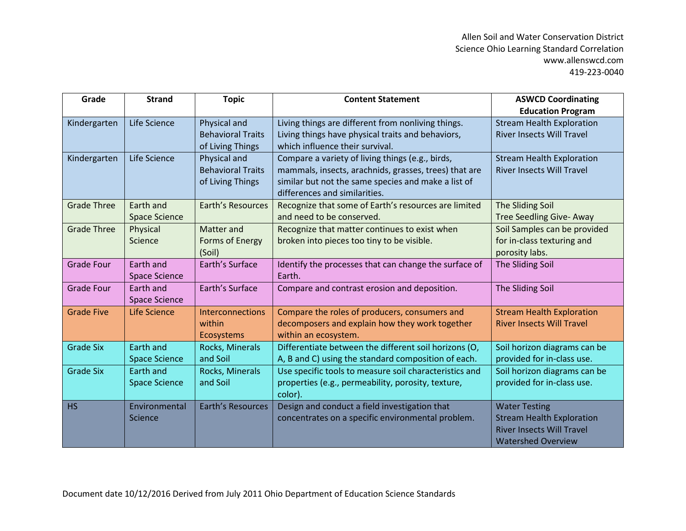| Grade              | <b>Strand</b>        | <b>Topic</b>                                 | <b>Content Statement</b>                                                                                     | <b>ASWCD Coordinating</b>        |
|--------------------|----------------------|----------------------------------------------|--------------------------------------------------------------------------------------------------------------|----------------------------------|
|                    |                      |                                              |                                                                                                              | <b>Education Program</b>         |
| Kindergarten       | Life Science         | Physical and                                 | Living things are different from nonliving things.                                                           | <b>Stream Health Exploration</b> |
|                    |                      | <b>Behavioral Traits</b><br>of Living Things | Living things have physical traits and behaviors,<br>which influence their survival.                         | <b>River Insects Will Travel</b> |
| Kindergarten       | Life Science         | Physical and                                 | Compare a variety of living things (e.g., birds,                                                             | <b>Stream Health Exploration</b> |
|                    |                      | <b>Behavioral Traits</b><br>of Living Things | mammals, insects, arachnids, grasses, trees) that are<br>similar but not the same species and make a list of | <b>River Insects Will Travel</b> |
|                    |                      |                                              | differences and similarities.                                                                                |                                  |
| <b>Grade Three</b> | Earth and            | <b>Earth's Resources</b>                     | Recognize that some of Earth's resources are limited                                                         | The Sliding Soil                 |
|                    | <b>Space Science</b> |                                              | and need to be conserved.                                                                                    | <b>Tree Seedling Give- Away</b>  |
| <b>Grade Three</b> | Physical             | Matter and                                   | Recognize that matter continues to exist when                                                                | Soil Samples can be provided     |
|                    | Science              | Forms of Energy                              | broken into pieces too tiny to be visible.                                                                   | for in-class texturing and       |
|                    |                      | (Soil)                                       |                                                                                                              | porosity labs.                   |
| <b>Grade Four</b>  | Earth and            | Earth's Surface                              | Identify the processes that can change the surface of                                                        | The Sliding Soil                 |
|                    | <b>Space Science</b> |                                              | Earth.                                                                                                       |                                  |
| <b>Grade Four</b>  | Earth and            | Earth's Surface                              | Compare and contrast erosion and deposition.                                                                 | The Sliding Soil                 |
|                    | <b>Space Science</b> |                                              |                                                                                                              |                                  |
| <b>Grade Five</b>  | <b>Life Science</b>  | <b>Interconnections</b>                      | Compare the roles of producers, consumers and                                                                | <b>Stream Health Exploration</b> |
|                    |                      | within                                       | decomposers and explain how they work together                                                               | <b>River Insects Will Travel</b> |
|                    |                      | <b>Ecosystems</b>                            | within an ecosystem.                                                                                         |                                  |
| <b>Grade Six</b>   | Earth and            | Rocks, Minerals                              | Differentiate between the different soil horizons (O,                                                        | Soil horizon diagrams can be     |
|                    | <b>Space Science</b> | and Soil                                     | A, B and C) using the standard composition of each.                                                          | provided for in-class use.       |
| <b>Grade Six</b>   | Earth and            | Rocks, Minerals                              | Use specific tools to measure soil characteristics and                                                       | Soil horizon diagrams can be     |
|                    | <b>Space Science</b> | and Soil                                     | properties (e.g., permeability, porosity, texture,<br>color).                                                | provided for in-class use.       |
| <b>HS</b>          | Environmental        | Earth's Resources                            | Design and conduct a field investigation that                                                                | <b>Water Testing</b>             |
|                    | Science              |                                              | concentrates on a specific environmental problem.                                                            | <b>Stream Health Exploration</b> |
|                    |                      |                                              |                                                                                                              | <b>River Insects Will Travel</b> |
|                    |                      |                                              |                                                                                                              | <b>Watershed Overview</b>        |